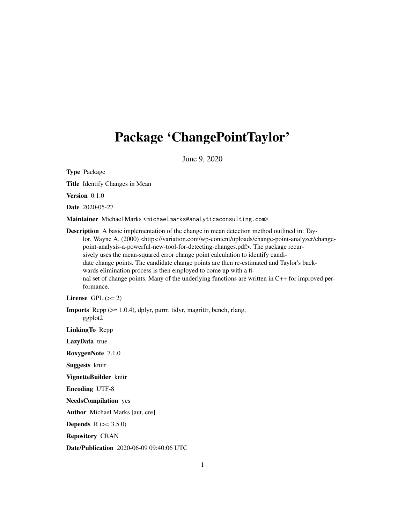## Package 'ChangePointTaylor'

June 9, 2020

Type Package

Title Identify Changes in Mean

Version 0.1.0

Date 2020-05-27

Maintainer Michael Marks <michaelmarks@analyticaconsulting.com>

Description A basic implementation of the change in mean detection method outlined in: Taylor, Wayne A. (2000) <https://variation.com/wp-content/uploads/change-point-analyzer/changepoint-analysis-a-powerful-new-tool-for-detecting-changes.pdf>. The package recursively uses the mean-squared error change point calculation to identify candidate change points. The candidate change points are then re-estimated and Taylor's backwards elimination process is then employed to come up with a final set of change points. Many of the underlying functions are written in C++ for improved performance.

License GPL  $(>= 2)$ 

**Imports** Rcpp  $(>= 1.0.4)$ , dplyr, purrr, tidyr, magrittr, bench, rlang, ggplot2

LinkingTo Rcpp

LazyData true

RoxygenNote 7.1.0

Suggests knitr

VignetteBuilder knitr

Encoding UTF-8

NeedsCompilation yes

Author Michael Marks [aut, cre]

**Depends**  $R (= 3.5.0)$ 

Repository CRAN

Date/Publication 2020-06-09 09:40:06 UTC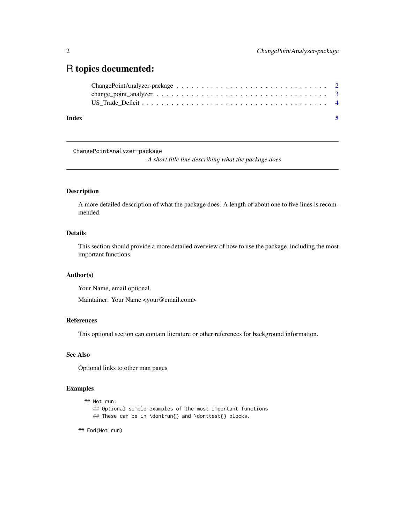### <span id="page-1-0"></span>R topics documented:

| Index |  |
|-------|--|
|       |  |
|       |  |
|       |  |

ChangePointAnalyzer-package

*A short title line describing what the package does*

#### Description

A more detailed description of what the package does. A length of about one to five lines is recommended.

#### Details

This section should provide a more detailed overview of how to use the package, including the most important functions.

#### Author(s)

Your Name, email optional.

Maintainer: Your Name <your@email.com>

#### References

This optional section can contain literature or other references for background information.

#### See Also

Optional links to other man pages

#### Examples

```
## Not run:
   ## Optional simple examples of the most important functions
   ## These can be in \dontrun{} and \donttest{} blocks.
```
## End(Not run)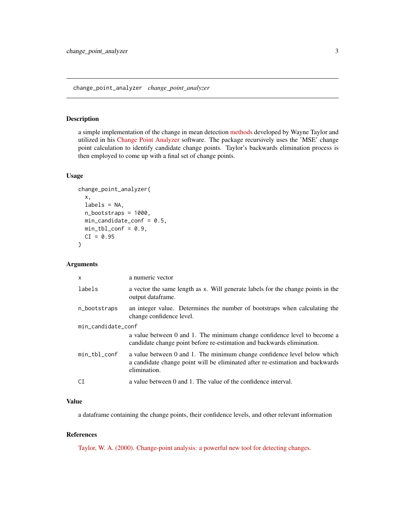#### <span id="page-2-0"></span>Description

a simple implementation of the change in mean detection [methods](https://variation.com/wp-content/uploads/change-point-analyzer/change-point-analysis-a-powerful-new-tool-for-detecting-changes.pdf) developed by Wayne Taylor and utilized in his [Change Point Analyzer](https://variation.com/product/change-point-analyzer/) software. The package recursively uses the 'MSE' change point calculation to identify candidate change points. Taylor's backwards elimination process is then employed to come up with a final set of change points.

#### Usage

```
change_point_analyzer(
  x,
 labels = NA,
 n_bootstraps = 1000,
 min\_candidate\_conf = 0.5,
 min_t = 0.9,
 CI = 0.95)
```
#### Arguments

| $\mathsf{x}$       | a numeric vector                                                                                                                                                          |  |  |
|--------------------|---------------------------------------------------------------------------------------------------------------------------------------------------------------------------|--|--|
| labels             | a vector the same length as x. Will generate labels for the change points in the<br>output dataframe.                                                                     |  |  |
| n_bootstraps       | an integer value. Determines the number of bootstraps when calculating the<br>change confidence level.                                                                    |  |  |
| min_candidate_conf |                                                                                                                                                                           |  |  |
|                    | a value between 0 and 1. The minimum change confidence level to become a<br>candidate change point before re-estimation and backwards elimination.                        |  |  |
| min_tbl_conf       | a value between 0 and 1. The minimum change confidence level below which<br>a candidate change point will be eliminated after re-estimation and backwards<br>elimination. |  |  |
| СI                 | a value between 0 and 1. The value of the confidence interval.                                                                                                            |  |  |

#### Value

a dataframe containing the change points, their confidence levels, and other relevant information

#### References

[Taylor, W. A. \(2000\). Change-point analysis: a powerful new tool for detecting changes.](https://variation.com/wp-content/uploads/change-point-analyzer/change-point-analysis-a-powerful-new-tool-for-detecting-changes.pdf)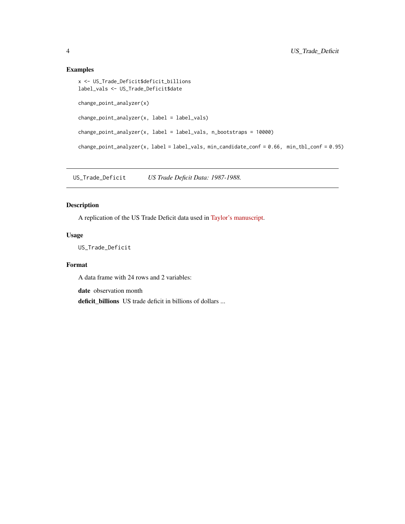#### Examples

```
x <- US_Trade_Deficit$deficit_billions
label_vals <- US_Trade_Deficit$date
change_point_analyzer(x)
change_point_analyzer(x, label = label_vals)
change\_point\_analyzer(x, label = label\_vals, n\_bootstrap = 10000)change_point_analyzer(x, label = label_vals, min_candidate_conf = 0.66, min_tbl_conf = 0.95)
```
US\_Trade\_Deficit *US Trade Deficit Data: 1987-1988.*

#### Description

A replication of the US Trade Deficit data used in [Taylor's manuscript.](https://variation.com/wp-content/uploads/change-point-analyzer/change-point-analysis-a-powerful-new-tool-for-detecting-changes.pdf)

#### Usage

US\_Trade\_Deficit

#### Format

A data frame with 24 rows and 2 variables:

date observation month

deficit\_billions US trade deficit in billions of dollars ...

<span id="page-3-0"></span>